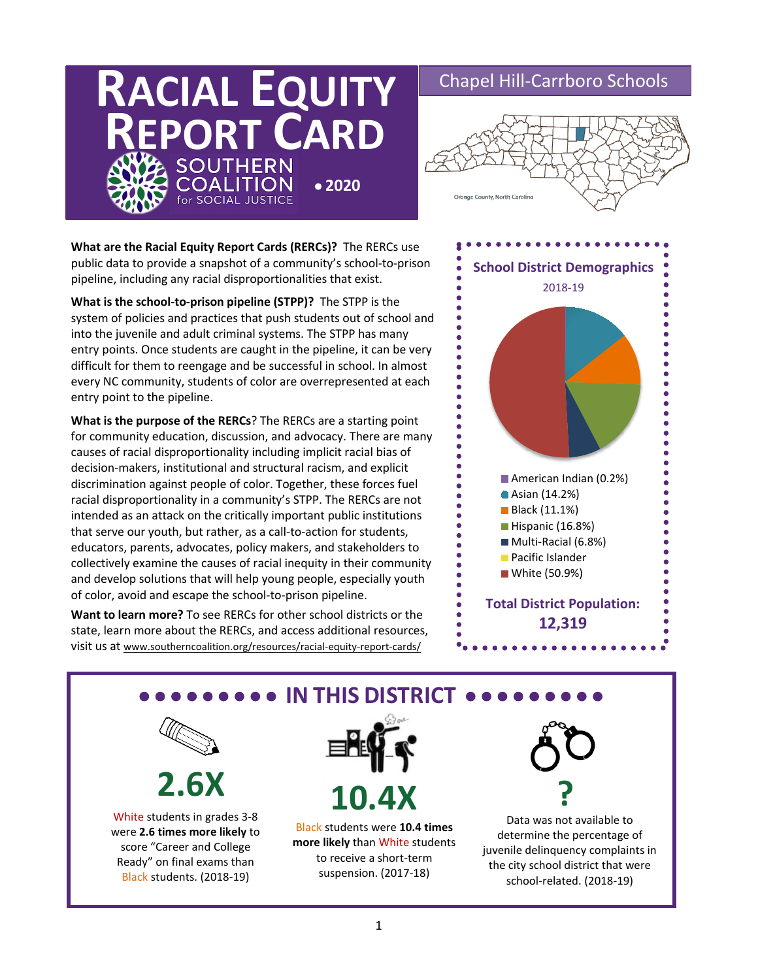# **RACIAL EQUITY REPORT CARD** • **2020SOCIAL JUSTICE**

## Chapel Hill-Carrboro Schools



public data to provide a snapshot of a community's school-to-prison<br>pipeline, including any racial disproportionalities that exist. **What are the Racial Equity Report Cards (RERCs)?** The RERCs use pipeline, including any racial disproportionalities that exist.

**What is the school-to-prison pipeline (STPP)?** The STPP is the system of policies and practices that push students out of school and into the juvenile and adult criminal systems. The STPP has many entry points. Once students are caught in the pipeline, it can be very difficult for them to reengage and be successful in school. In almost every NC community, students of color are overrepresented at each entry point to the pipeline.

**What is the purpose of the RERCs**? The RERCs are a starting point for community education, discussion, and advocacy. There are many causes of racial disproportionality including implicit racial bias of decision-makers, institutional and structural racism, and explicit discrimination against people of color. Together, these forces fuel racial disproportionality in a community's STPP. The RERCs are not intended as an attack on the critically important public institutions that serve our youth, but rather, as a call-to-action for students, educators, parents, advocates, policy makers, and stakeholders to collectively examine the causes of racial inequity in their community and develop solutions that will help young people, especially youth of color, avoid and escape the school-to-prison pipeline.

**Want to learn more?** To see RERCs for other school districts or the state, learn more about the RERCs, and access additional resources, visit us at www.southerncoalition.org/resources/racial-equity-report-cards/



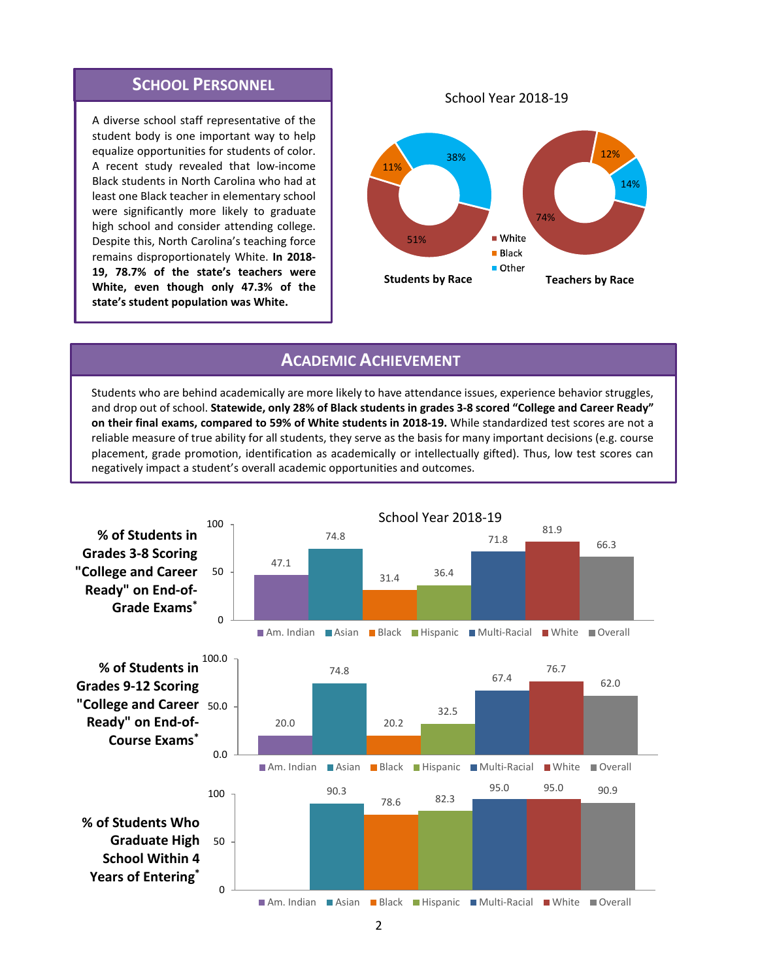## **SCHOOL PERSONNEL**

A diverse school staff representative of the student body is one important way to help equalize opportunities for students of color. A recent study revealed that low-income Black students in North Carolina who had at least one Black teacher in elementary school were significantly more likely to graduate high school and consider attending college. Despite this, North Carolina's teaching force remains disproportionately White. **In 2018- 19, 78.7% of the state's teachers were White, even though only 47.3% of the state's student population was White.**

School Year 2018-19



### **ACADEMIC ACHIEVEMENT**

Students who are behind academically are more likely to have attendance issues, experience behavior struggles, and drop out of school. **Statewide, only 28% of Black students in grades 3-8 scored "College and Career Ready" on their final exams, compared to 59% of White students in 2018-19.** While standardized test scores are not a reliable measure of true ability for all students, they serve as the basis for many important decisions (e.g. course placement, grade promotion, identification as academically or intellectually gifted). Thus, low test scores can negatively impact a student's overall academic opportunities and outcomes.

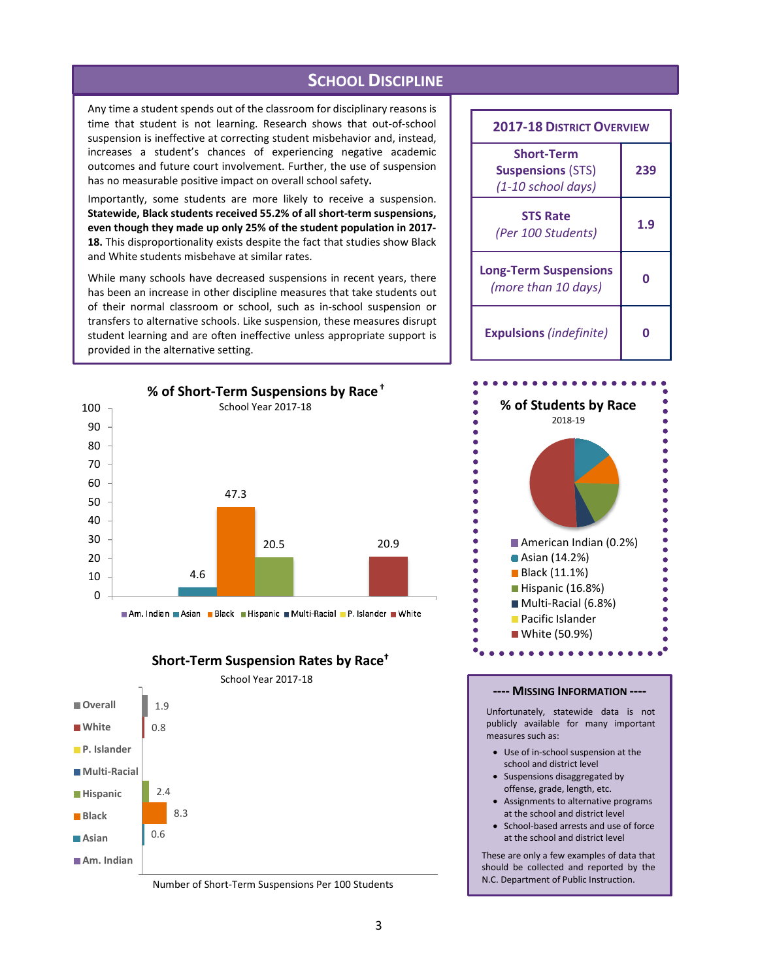**SCHOOL DISCIPLINE**

Any time a student spends out of the classroom for disciplinary reasons is time that student is not learning. Research shows that out-of-school suspension is ineffective at correcting student misbehavior and, instead, increases a student's chances of experiencing negative academic outcomes and future court involvement. Further, the use of suspension has no measurable positive impact on overall school safety**.**

Importantly, some students are more likely to receive a suspension. **Statewide, Black students received 55.2% of all short-term suspensions, even though they made up only 25% of the student population in 2017- 18.** This disproportionality exists despite the fact that studies show Black and White students misbehave at similar rates.

While many schools have decreased suspensions in recent years, there has been an increase in other discipline measures that take students out of their normal classroom or school, such as in-school suspension or transfers to alternative schools. Like suspension, these measures disrupt student learning and are often ineffective unless appropriate support is provided in the alternative setting.



Am. Indian Asian Black Hispanic Multi-Racial P. Islander White

**Short-Term Suspension Rates by Race†**



Number of Short-Term Suspensions Per 100 Students

| <b>2017-18 DISTRICT OVERVIEW</b>                                    |     |
|---------------------------------------------------------------------|-----|
| <b>Short-Term</b><br><b>Suspensions (STS)</b><br>(1-10 school days) | 239 |
| <b>STS Rate</b><br>(Per 100 Students)                               | 1.9 |
| <b>Long-Term Suspensions</b><br>(more than 10 days)                 | n   |
| <b>Expulsions</b> (indefinite)                                      |     |



#### **---- MISSING INFORMATION ----**

Unfortunately, statewide data is not publicly available for many important measures such as:

- Use of in-school suspension at the school and district level
- Suspensions disaggregated by offense, grade, length, etc.
- Assignments to alternative programs at the school and district level
- School-based arrests and use of force at the school and district level

These are only a few examples of data that should be collected and reported by the N.C. Department of Public Instruction.